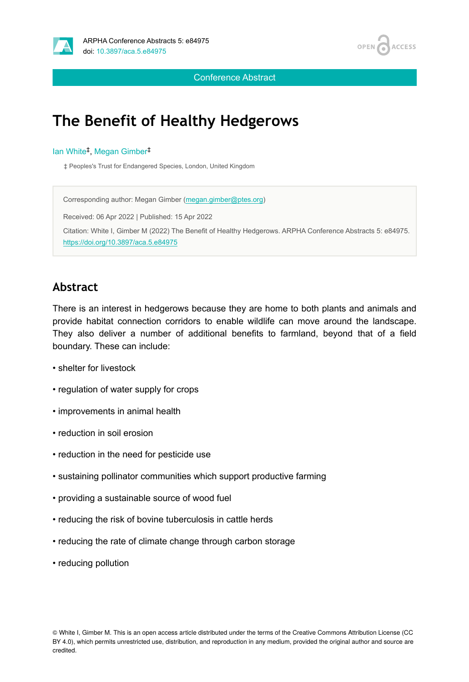



Conference Abstract

# **The Benefit of Healthy Hedgerows**

#### lan White<sup>‡</sup>, Megan Gimber<sup>‡</sup>

‡ Peoples's Trust for Endangered Species, London, United Kingdom

Corresponding author: Megan Gimber [\(megan.gimber@ptes.org](mailto:megan.gimber@ptes.org)) Received: 06 Apr 2022 | Published: 15 Apr 2022 Citation: White I, Gimber M (2022) The Benefit of Healthy Hedgerows. ARPHA Conference Abstracts 5: e84975. <https://doi.org/10.3897/aca.5.e84975>

#### **Abstract**

There is an interest in hedgerows because they are home to both plants and animals and provide habitat connection corridors to enable wildlife can move around the landscape. They also deliver a number of additional benefits to farmland, beyond that of a field boundary. These can include:

- shelter for livestock
- regulation of water supply for crops
- improvements in animal health
- reduction in soil erosion
- reduction in the need for pesticide use
- sustaining pollinator communities which support productive farming
- providing a sustainable source of wood fuel
- reducing the risk of bovine tuberculosis in cattle herds
- reducing the rate of climate change through carbon storage
- reducing pollution